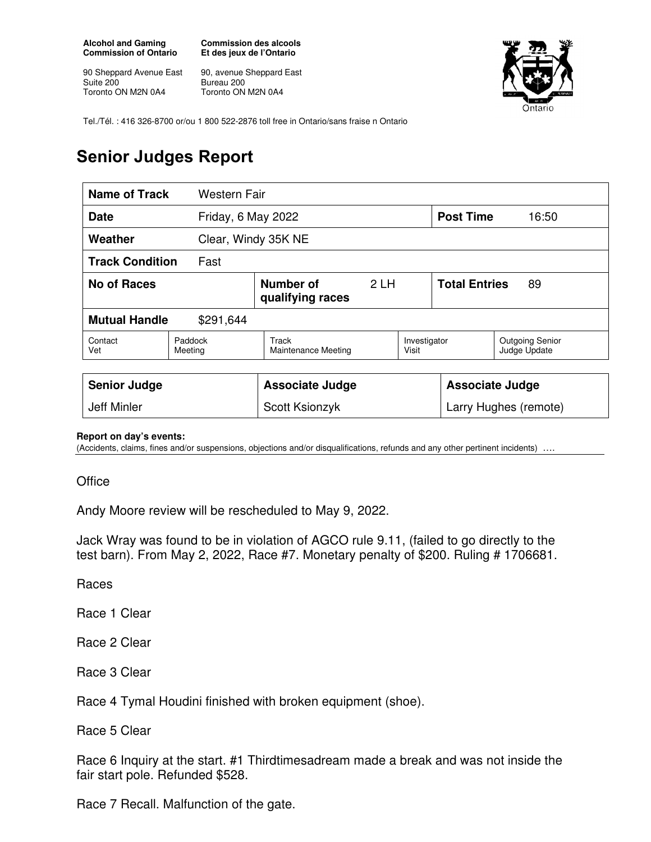**Alcohol and Gaming Commission of Ontario** 

90 Sheppard Avenue East Suite 200 Toronto ON M2N 0A4

**Commission des alcools Et des jeux de l'Ontario** 

90, avenue Sheppard East Bureau 200 Toronto ON M2N 0A4



Tel./Tél. : 416 326-8700 or/ou 1 800 522-2876 toll free in Ontario/sans fraise n Ontario

## **Senior Judges Report**

| <b>Name of Track</b>              | Western Fair       |                                     |    |                        |                            |                                        |  |
|-----------------------------------|--------------------|-------------------------------------|----|------------------------|----------------------------|----------------------------------------|--|
| <b>Date</b>                       | Friday, 6 May 2022 |                                     |    | <b>Post Time</b>       | 16:50                      |                                        |  |
| Weather                           |                    | Clear, Windy 35K NE                 |    |                        |                            |                                        |  |
| <b>Track Condition</b><br>Fast    |                    |                                     |    |                        |                            |                                        |  |
| <b>No of Races</b>                |                    | Number of<br>qualifying races       | 2H |                        | <b>Total Entries</b><br>89 |                                        |  |
| <b>Mutual Handle</b><br>\$291,644 |                    |                                     |    |                        |                            |                                        |  |
| Contact<br>Vet                    | Paddock<br>Meeting | Track<br><b>Maintenance Meeting</b> |    | Investigator<br>Visit  |                            | <b>Outgoing Senior</b><br>Judge Update |  |
|                                   |                    |                                     |    |                        |                            |                                        |  |
| <b>Senior Judge</b>               |                    | <b>Associate Judge</b>              |    | <b>Associate Judge</b> |                            |                                        |  |
| <b>Jeff Minler</b>                |                    | Scott Ksionzyk                      |    | Larry Hughes (remote)  |                            |                                        |  |

## **Report on day's events:**

(Accidents, claims, fines and/or suspensions, objections and/or disqualifications, refunds and any other pertinent incidents) ….

**Office** 

Andy Moore review will be rescheduled to May 9, 2022.

Jack Wray was found to be in violation of AGCO rule 9.11, (failed to go directly to the test barn). From May 2, 2022, Race #7. Monetary penalty of \$200. Ruling # 1706681.

Races

Race 1 Clear

Race 2 Clear

Race 3 Clear

Race 4 Tymal Houdini finished with broken equipment (shoe).

Race 5 Clear

Race 6 Inquiry at the start. #1 Thirdtimesadream made a break and was not inside the fair start pole. Refunded \$528.

Race 7 Recall. Malfunction of the gate.